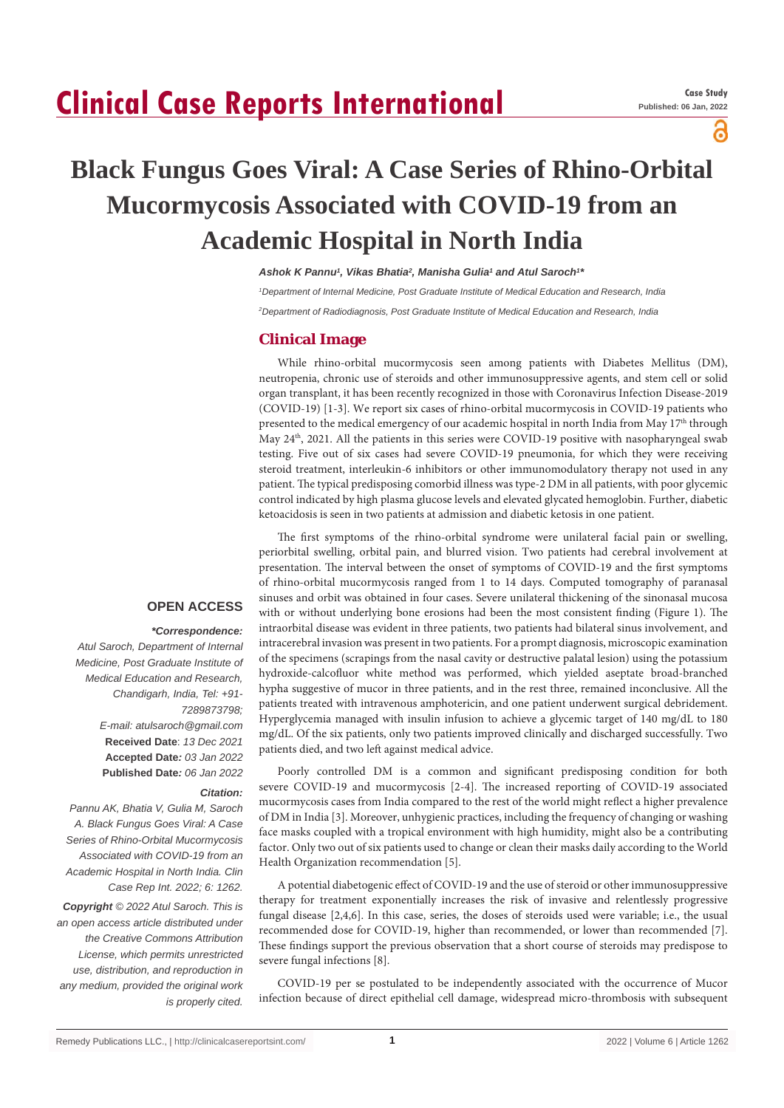# **Clinical Case Reports International**

ဥ

# **Black Fungus Goes Viral: A Case Series of Rhino-Orbital Mucormycosis Associated with COVID-19 from an Academic Hospital in North India**

*Ashok K Pannu1 , Vikas Bhatia2 , Manisha Gulia1 and Atul Saroch1 \**

*1 Department of Internal Medicine, Post Graduate Institute of Medical Education and Research, India 2 Department of Radiodiagnosis, Post Graduate Institute of Medical Education and Research, India*

### **Clinical Image**

While rhino-orbital mucormycosis seen among patients with Diabetes Mellitus (DM), neutropenia, chronic use of steroids and other immunosuppressive agents, and stem cell or solid organ transplant, it has been recently recognized in those with Coronavirus Infection Disease-2019 (COVID-19) [1-3]. We report six cases of rhino-orbital mucormycosis in COVID-19 patients who presented to the medical emergency of our academic hospital in north India from May 17<sup>th</sup> through May 24th, 2021. All the patients in this series were COVID-19 positive with nasopharyngeal swab testing. Five out of six cases had severe COVID-19 pneumonia, for which they were receiving steroid treatment, interleukin-6 inhibitors or other immunomodulatory therapy not used in any patient. The typical predisposing comorbid illness was type-2 DM in all patients, with poor glycemic control indicated by high plasma glucose levels and elevated glycated hemoglobin. Further, diabetic ketoacidosis is seen in two patients at admission and diabetic ketosis in one patient.

### **OPEN ACCESS**

## *\*Correspondence:*

*Atul Saroch, Department of Internal Medicine, Post Graduate Institute of Medical Education and Research, Chandigarh, India, Tel: +91- 7289873798; E-mail: atulsaroch@gmail.com* **Received Date**: *13 Dec 2021* **Accepted Date***: 03 Jan 2022* **Published Date***: 06 Jan 2022*

#### *Citation:*

*Pannu AK, Bhatia V, Gulia M, Saroch A. Black Fungus Goes Viral: A Case Series of Rhino-Orbital Mucormycosis Associated with COVID-19 from an Academic Hospital in North India. Clin Case Rep Int. 2022; 6: 1262.*

*Copyright © 2022 Atul Saroch. This is an open access article distributed under the Creative Commons Attribution License, which permits unrestricted use, distribution, and reproduction in any medium, provided the original work is properly cited.*

The first symptoms of the rhino-orbital syndrome were unilateral facial pain or swelling, periorbital swelling, orbital pain, and blurred vision. Two patients had cerebral involvement at presentation. The interval between the onset of symptoms of COVID-19 and the first symptoms of rhino-orbital mucormycosis ranged from 1 to 14 days. Computed tomography of paranasal sinuses and orbit was obtained in four cases. Severe unilateral thickening of the sinonasal mucosa with or without underlying bone erosions had been the most consistent finding (Figure 1). The intraorbital disease was evident in three patients, two patients had bilateral sinus involvement, and intracerebral invasion was present in two patients. For a prompt diagnosis, microscopic examination of the specimens (scrapings from the nasal cavity or destructive palatal lesion) using the potassium hydroxide-calcofluor white method was performed, which yielded aseptate broad-branched hypha suggestive of mucor in three patients, and in the rest three, remained inconclusive. All the patients treated with intravenous amphotericin, and one patient underwent surgical debridement. Hyperglycemia managed with insulin infusion to achieve a glycemic target of 140 mg/dL to 180 mg/dL. Of the six patients, only two patients improved clinically and discharged successfully. Two patients died, and two left against medical advice.

Poorly controlled DM is a common and significant predisposing condition for both severe COVID-19 and mucormycosis [2-4]. The increased reporting of COVID-19 associated mucormycosis cases from India compared to the rest of the world might reflect a higher prevalence of DM in India [3]. Moreover, unhygienic practices, including the frequency of changing or washing face masks coupled with a tropical environment with high humidity, might also be a contributing factor. Only two out of six patients used to change or clean their masks daily according to the World Health Organization recommendation [5].

A potential diabetogenic effect of COVID-19 and the use of steroid or other immunosuppressive therapy for treatment exponentially increases the risk of invasive and relentlessly progressive fungal disease [2,4,6]. In this case, series, the doses of steroids used were variable; i.e., the usual recommended dose for COVID-19, higher than recommended, or lower than recommended [7]. These findings support the previous observation that a short course of steroids may predispose to severe fungal infections [8].

COVID-19 per se postulated to be independently associated with the occurrence of Mucor infection because of direct epithelial cell damage, widespread micro-thrombosis with subsequent